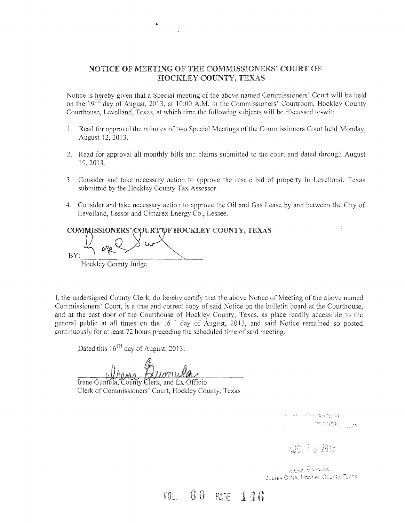### NOTICE OF MEETING OF THE COMMISSIONERS' COURT OF HOCKLEY COUNTY, TEXAS

Notice is hereby given that a Special meeting of the above named Commissioners' Court will be held on the  $19<sup>TH</sup>$  day of August, 2013, at 10:00 A.M. in the Commissioners' Courtroom, Hockley County Courthouse, Levelland, Texas, at which time the following subjects will be discussed to-wit:

- 1. Read for approval the minutes of two Special Meetings of the Commissioners Court held Monday, August 12, 2013.
- 2. Read for approval all monthly bills and claims submitted to the court and dated through August 19,2013.
- 3. Consider and take necessary action to approve the resale bid of property in Levelland, Texas submitted by the Hockley County Tax Assessor.
- 4. Consider and take necessary action to approve the Oil and Gas Lease by and between the City of Levelland, Lessor and Cimarex Energy Co., Lessee.

COMMISSIONERS' COURT OF HOCKLEY COUNTY, TEXAS  $_{\rm BY:}$  and  $\rightarrow$ Hockley County Judge

•

I, the undersigned County Clerk, do hereby certify that the above Notice of Meeting of the above named Commissioners' Court, is a true and correct copy of said Notice on the bulletin board at the Courthouse, and at the east door of the Courthouse of Hockley County, Texas, as place readily accessible to the general public at all times on the 16<sup>TH</sup> day of August, 2013, and said Notice remained so posted continuously for at least 72 hours preceding the scheduled time of said meeting.

Dated this  $16^{TH}$  day of August, 2013.

Dumula

Irene Gumula, County Clerk, and Ex-Officio Clerk of Commissioners' Court, Hockley County, Texas

> 可以调解的解释 PSLOGR<sub>L LE</sub>M

> > 超度重要题说

Dens Bronsla County Clerk, Hockley County, Texas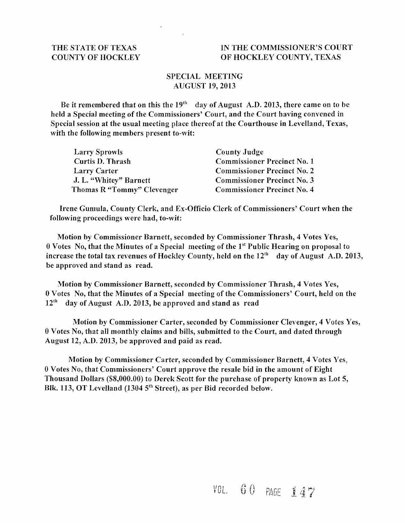#### THE STATE OF TEXAS IN THE COMMISSIONER'S COURT COUNTY OF HOCKLEY OF HOCKLEY COUNTY, TEXAS

### SPECIAL MEETING AUGUST 19,2013

Be it remembered that on this the  $19<sup>th</sup>$  day of August A.D. 2013, there came on to be held a Special meeting of the Commissioners' Court, and the Court having convened in Special session at the usual meeting place thereof at the Courthouse in Levelland, Texas, with the following members present to-wit:

| <b>Larry Sprowls</b>       | County Judge                       |
|----------------------------|------------------------------------|
| Curtis D. Thrash           | <b>Commissioner Precinct No. 1</b> |
| Larry Carter               | <b>Commissioner Precinct No. 2</b> |
| J. L. "Whitey" Barnett     | <b>Commissioner Precinct No. 3</b> |
| Thomas R "Tommy" Clevenger | <b>Commissioner Precinct No. 4</b> |

Irene Gumula, County Clerk, and Ex-Officio Clerk of Commissioners' Court when the following proceedings were had, to-wit:

Motion by Commissioner Barnett, seconded by Commissioner Thrash, 4 Votes Yes,  $0$  Votes No, that the Minutes of a Special meeting of the  $1<sup>st</sup>$  Public Hearing on proposal to increase the total tax revenues of Hockley County, held on the  $12<sup>th</sup>$  day of August A.D. 2013, be approved and stand as read.

Motion by Commissioner Barnett, seconded by Commissioner Thrash, 4 Votes Yes, 0 Votes No, that the Minutes of a Special meeting of the Commissioners' Court, held on the  $12<sup>th</sup>$  day of August A.D. 2013, be approved and stand as read

Motion by Commissioner Carter, seconded by Commissioner Clevenger, 4 Votes Yes, 0 Votes No, that all monthly claims and bills, submitted to the Court, and dated through August 12, A.D. 2013, be approved and paid as read.

Motion by Commissioner Carter, seconded by Commissioner Barnett, 4 Votes Yes, 0 Votes No, that Commissioners' Court approve the resale bid in the amount of Eight Thousand Dollars (\$8,000.00) to Derek Scott for the purchase of property known as Lot 5, Blk. 113, OT Levelland (1304  $5<sup>th</sup>$  Street), as per Bid recorded below.

## $\texttt{VOL.} \quad 60$  PAGE 147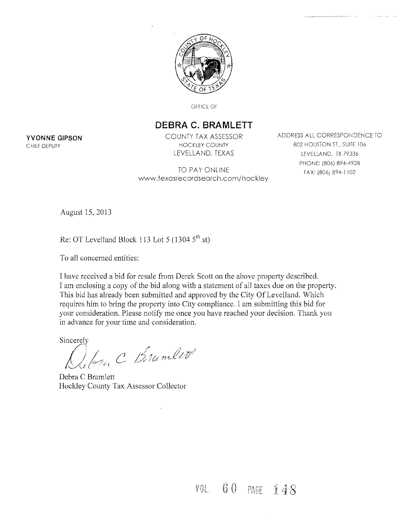

OFFICE OF

### **DEBRA C. BRAMLETT**

TO PAY ONLINE FAX: (806) 894-1102 www.texasrecordsearch.com/hockley

**YVONNE GIPSON** COUNTY TAX ASSESSOR ADDRESS ALL CORRESPONDENCE TO CHIEF DEPUTY **EXECUTE A CHIEF DEPUTY HOCKLEY COUNTY 1999 IN SECTION ST.** SUITE 106 LEVELLAND, TEXAS LEVELLAND, TX 79336 PHONE: (806) 894-4938

August 15,2013

Re: OT Levelland Block 113 Lot 5 (1304  $5^{th}$  st)

To all concemed entities:

I have received a bid for resale from Derek Scott on the above property described. I am enclosing a copy of the bid along with a statement of all taxes due on the property. This bid has already been submitted and approved by the City Of Levelland. Which requires him to bring the property into City compliance. I am submitting this bid for your consideration. Please notify me once you have reached your decision. Thank you in advance for your time and consideration.

Sincerely

In C Brunlet

Debra C Bramlett Hockley County Tax Assessor Collector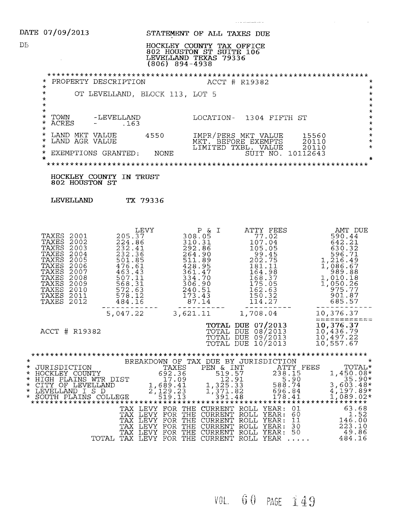|    | DATE 07/09/2013                                                                                                                                                                                                                                                                                                                                         | STATEMENT OF ALL TAXES DUE                                                                                                                                                                                                                                                             |                                                                                                                                                                                                             |                                                                                                      |
|----|---------------------------------------------------------------------------------------------------------------------------------------------------------------------------------------------------------------------------------------------------------------------------------------------------------------------------------------------------------|----------------------------------------------------------------------------------------------------------------------------------------------------------------------------------------------------------------------------------------------------------------------------------------|-------------------------------------------------------------------------------------------------------------------------------------------------------------------------------------------------------------|------------------------------------------------------------------------------------------------------|
| DБ |                                                                                                                                                                                                                                                                                                                                                         | HOCKLEY COUNTY TAX OFFICE<br>802 HOUSTON ST SUITE 106<br>LEVELLAND TEXAS 79336<br>$(806)$ 894-4938                                                                                                                                                                                     |                                                                                                                                                                                                             |                                                                                                      |
|    | * PROPERTY DESCRIPTION                                                                                                                                                                                                                                                                                                                                  |                                                                                                                                                                                                                                                                                        | ACCT # R19382                                                                                                                                                                                               | $\star$                                                                                              |
|    | $\star$<br>$\star$<br>$^\star$<br>$\star$                                                                                                                                                                                                                                                                                                               | OT LEVELLAND, BLOCK 113, LOT 5                                                                                                                                                                                                                                                         |                                                                                                                                                                                                             | $\star$<br>$\star$<br>$\star$<br>$\star$                                                             |
|    | $\star$<br>* TOWN -LEVELLAND<br>* ACRES - .163<br><b>ACRES</b><br>$-$ . 163<br>$\star$                                                                                                                                                                                                                                                                  |                                                                                                                                                                                                                                                                                        | LOCATION- 1304 FIFTH ST                                                                                                                                                                                     | $\star$<br>$\star$<br>$\star$<br>$\star$                                                             |
|    | $\star$<br>LAND MKT VALUE 4550<br>$\star$<br>LAND AGR VALUE<br>$\star$                                                                                                                                                                                                                                                                                  |                                                                                                                                                                                                                                                                                        | IMPR/PERS MKT VALUE<br>MKT. BEFORE EXEMPTS<br>LIMITED TXBL <u>. VALU</u> E                                                                                                                                  | $\star$<br>15560<br>$\star$<br>20110<br>$\star$                                                      |
|    | EXEMPTIONS GRANTED: NONE<br>$\star$<br>$\star$                                                                                                                                                                                                                                                                                                          |                                                                                                                                                                                                                                                                                        | SUIT NO. 10112643                                                                                                                                                                                           | 20110<br>$\star$                                                                                     |
|    | HOCKLEY COUNTY IN TRUST<br>802 HOUSTON ST                                                                                                                                                                                                                                                                                                               |                                                                                                                                                                                                                                                                                        |                                                                                                                                                                                                             |                                                                                                      |
|    | LEVELLAND TX 79336                                                                                                                                                                                                                                                                                                                                      |                                                                                                                                                                                                                                                                                        |                                                                                                                                                                                                             |                                                                                                      |
|    | 205.37<br>TAXES 2001<br>224.86<br>TAXES 2002<br><b>TAXES 2003</b><br>232.41<br>232.36<br><b>TAXES 2004</b><br>TAXES<br>2005<br>501.85<br>476.61<br><b>TAXES 2006</b><br>TAXES<br>2007<br>463.43<br><b>TAXES 2008</b><br>507.11<br>TAXES<br>2009<br>568.31<br>572.63<br>TAXES 2010<br>578.12<br>TAXES<br>2011<br><b>TAXES 2012</b><br>484.16<br>5,047.22 | LEVY<br>$P$ & I<br>308.05<br>310.31<br>P & I<br>310.31<br>292.86<br>264.90<br>$211.89$<br>$428.95$<br>361.47<br>334.70<br>306.90<br>240.51<br>173.43<br>87.14<br>and their contracts and their contracts and their most<br>3,621.11                                                    | ATTY FEES<br>ATTY FEES<br>77.02<br>107.04<br>105.05<br>99.45<br>902.75<br>1,216.49<br>702.75<br>1,086.67<br>989.88<br>010.18<br>168.37<br>175.05<br>162.63<br>150.32<br>114.27<br>-------------<br>1,708.04 | AMT DUE<br>$989.88$<br>1,010.18<br>1,050.26<br>975.77<br>901.87<br>685.57<br>----------<br>10,376.37 |
|    | ACCT # R19382                                                                                                                                                                                                                                                                                                                                           |                                                                                                                                                                                                                                                                                        | <b>TOTAL DUE 07/2013</b><br>TOTAL DUE 08/2013<br>TOTAL DUE 09/2013<br>TOTAL DUE 10/2013                                                                                                                     | 10,376.37<br>10,436.79<br>10,497.22<br>10,557.67                                                     |
|    | * HOCKLEY COUNTY<br>* HOCKLEY COUNTY<br>* HIGH PLAINS WTR DIST<br>* CITY OF LEVELLAND<br>* CITY OF LEVELLAND<br>* SOUTH PLAINS COLLEGE<br>* SOUTH PLAINS COLLEGE<br>* SOUTH PLAINS COLLEGE<br>* ATTY OF LEVELLAND<br>* SOUTH PLAINS COLLEGE<br>* A                                                                                                      | TAX LEVY FOR THE CURRENT ROLL YEAR: 01 63.68<br>TAX LEVY FOR THE CURRENT ROLL YEAR: 60 1.52<br>TAX LEVY FOR THE CURRENT ROLL YEAR: 11 146.00<br>TAX LEVY FOR THE CURRENT ROLL YEAR: 30 223.10<br>TAX LEVY FOR THE CURRENT ROLL YEAR: 50 49<br>TOTAL TAX LEVY FOR THE CURRENT ROLL YEAR |                                                                                                                                                                                                             | 484.16                                                                                               |

*VOL.*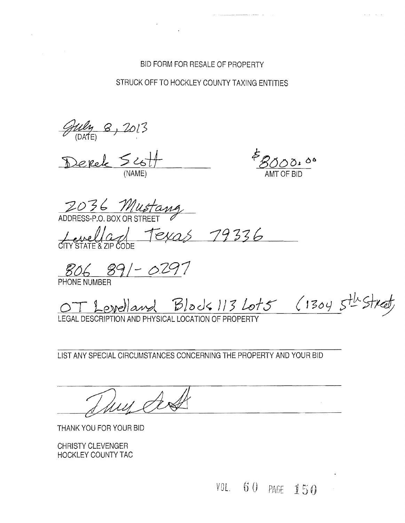### BID FORM FOR RESALE OF PROPERTY

STRUCK OFF TO HOCKLEY COUNTY TAXING ENTITIES

 $\mathcal{L}$ 

*<u>July 8, 2013</u>*<br>Derek Scott

2036 Mustang

Levellant Texas 79336

*gOb* B9!- *6-Z91* 

PHONE NUMBER

OT Levelland Block 113 Lot5 (1304 5th Street)

LEGAL DESCRIPTION AND PHYSICAL LOCATION OF PROPERTY

LIST ANY SPECIAL CIRCUMSTANCES CONCERNING THE PROPERTY AND YOUR BID

THANK YOU FOR YOUR BID

CHRISTY CLEVENGER HOCKLEY COUNTY TAC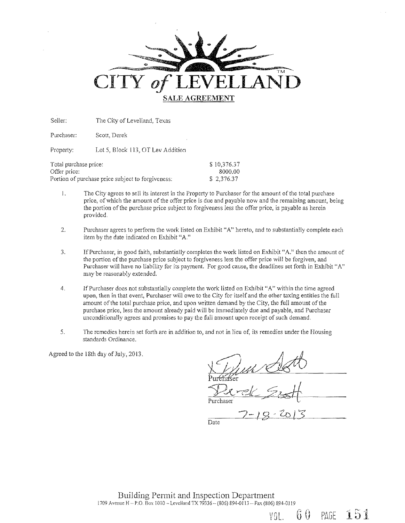

Seller: The City of Levelland, Texas

Purchaser: Scott, Derek

Property: Lot 5, Block 113, OT Lev Addition

| Total purchase price:                             | \$10,376.37 |
|---------------------------------------------------|-------------|
| Offer price:                                      | -8000.00    |
| Portion of purchase price subject to forgiveness: | \$2.376.37  |

- 1. The City agrees to sell its interest in the Property to Purchaser for the amount of the total purchase price, of which the amount of the offer price is due and payable now and the remaining amount, being the portion of the purchase price subject to forgiveness less the offer price, is payable as herein provided.
- 2, Purchaser agrees to perform the work listed on Exhibit "A" hereto, and to substantially complete each item by the date indicated on Exhibit "A"
- 3. IfPurchaser, in good faith, substantially completes the work listed on Exhibit "A," then the amount of the portion of the purchase price subject to forgiveness less the offer price will be forgiven, and Purchaser will have no liability for its payment. For good cause, the deadlines set forth in Exhibit "A" may be reasonably extended.
- 4. If Purchaser does not substantially complete the work listed on Exhibit "A" within the time agreed upon, then in that event, Purchaser will owe to the City for itself and the other taxing entities the full amount of the total purchase price, and upon written demand by the City, the full amount of the purchase price, less the amount already paid will be immediately due and payable, and Purchaser unconditionally agrees and promises to pay the full amount upon receipt of such demand,
- 5. The remedies herein set forth are in addition to, and not in lieu of, its remedies under the Housing standards Ordinance.

Agreed to the 18th day of July,  $2013$ .

VOL. 60 PAGE

 $151$ 

 $\overline{Date}$ 

Building Pennit and Inspection Department 1709 Avenue H - P.O. Box 1010 - Levelland TX 79336 - (806) 894-0113 - Fax (806) 894-0119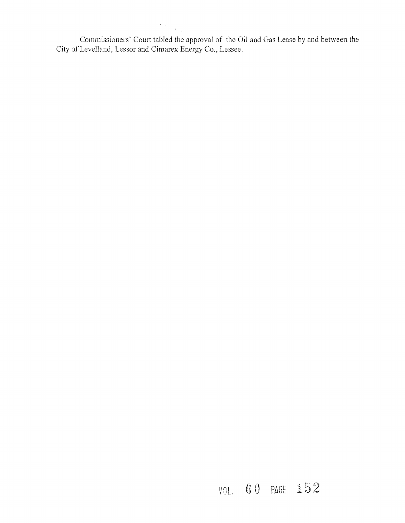$\mathcal{A}^{\mathcal{A}}$  , Commissioners' Court tabled the approval of the **Oil** and Gas Lease by and between the

City of Levelland, Lessor and Cimarex Energy Co., Lessee.